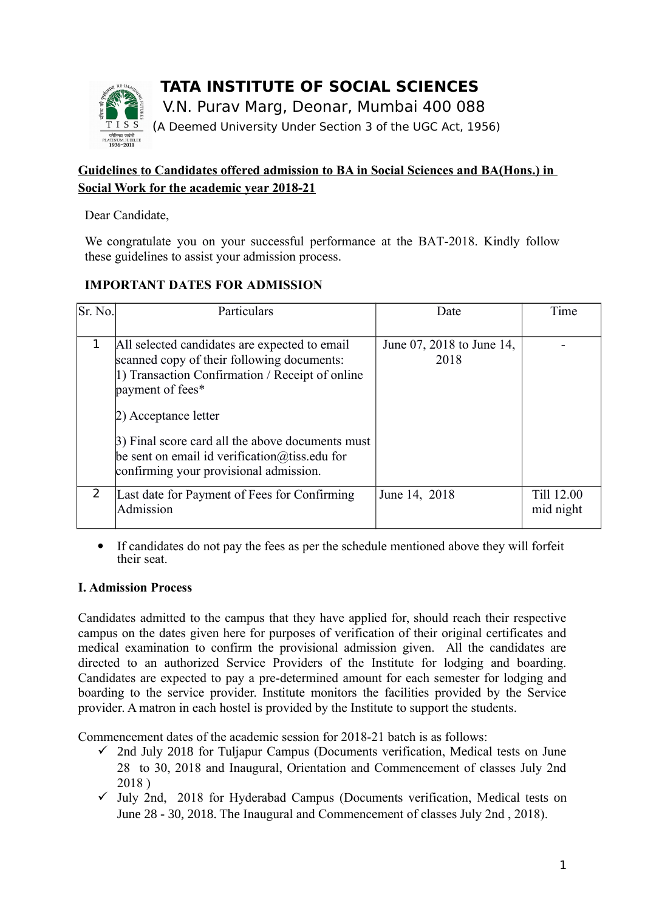

# **Guidelines to Candidates offered admission to BA in Social Sciences and BA(Hons.) in Social Work for the academic year 2018-21**

Dear Candidate,

We congratulate you on your successful performance at the BAT-2018. Kindly follow these guidelines to assist your admission process.

## **IMPORTANT DATES FOR ADMISSION**

| Sr. No. | Particulars                                                                                                                                                                                                                                                                                                                                        | Date                              | Time                    |
|---------|----------------------------------------------------------------------------------------------------------------------------------------------------------------------------------------------------------------------------------------------------------------------------------------------------------------------------------------------------|-----------------------------------|-------------------------|
|         | All selected candidates are expected to email<br>scanned copy of their following documents:<br>1) Transaction Confirmation / Receipt of online<br>payment of fees*<br>2) Acceptance letter<br>3) Final score card all the above documents must<br>be sent on email id verification $\omega$ tiss edu for<br>confirming your provisional admission. | June 07, 2018 to June 14,<br>2018 |                         |
|         | Last date for Payment of Fees for Confirming<br>Admission                                                                                                                                                                                                                                                                                          | June 14, 2018                     | Till 12.00<br>mid night |

 If candidates do not pay the fees as per the schedule mentioned above they will forfeit their seat.

## **I. Admission Process**

Candidates admitted to the campus that they have applied for, should reach their respective campus on the dates given here for purposes of verification of their original certificates and medical examination to confirm the provisional admission given. All the candidates are directed to an authorized Service Providers of the Institute for lodging and boarding. Candidates are expected to pay a pre-determined amount for each semester for lodging and boarding to the service provider. Institute monitors the facilities provided by the Service provider. A matron in each hostel is provided by the Institute to support the students.

Commencement dates of the academic session for 2018-21 batch is as follows:

- $\checkmark$  2nd July 2018 for Tuljapur Campus (Documents verification, Medical tests on June 28 to 30, 2018 and Inaugural, Orientation and Commencement of classes July 2nd 2018 )
- $\checkmark$  July 2nd, 2018 for Hyderabad Campus (Documents verification, Medical tests on June 28 - 30, 2018. The Inaugural and Commencement of classes July 2nd , 2018).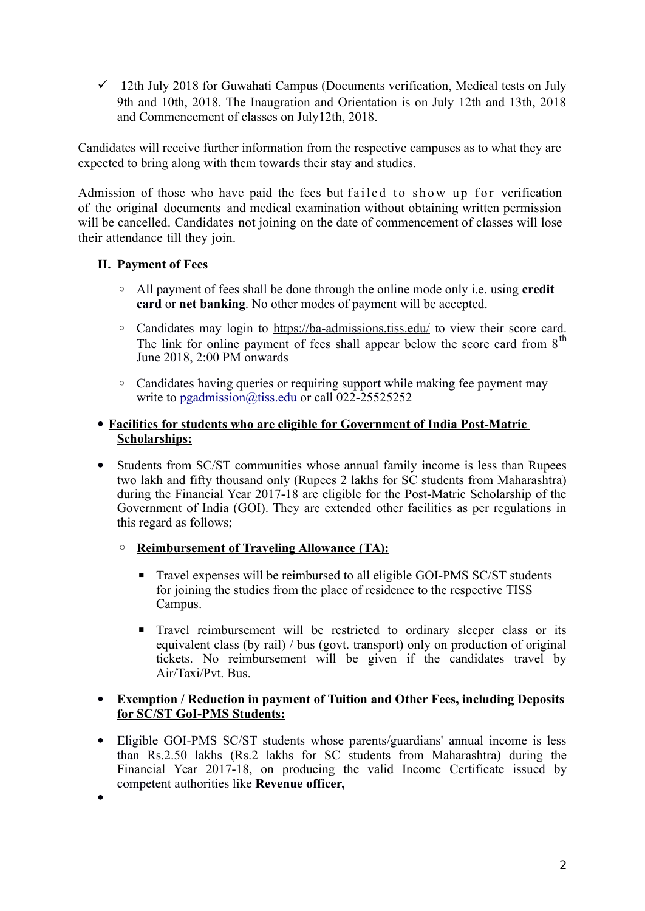$\checkmark$  12th July 2018 for Guwahati Campus (Documents verification, Medical tests on July 9th and 10th, 2018. The Inaugration and Orientation is on July 12th and 13th, 2018 and Commencement of classes on July12th, 2018.

Candidates will receive further information from the respective campuses as to what they are expected to bring along with them towards their stay and studies.

Admission of those who have paid the fees but failed to show up for verification of the original documents and medical examination without obtaining written permission will be cancelled. Candidates not joining on the date of commencement of classes will lose their attendance till they join.

## **II. Payment of Fees**

- All payment of fees shall be done through the online mode only i.e. using **credit card** or **net banking**. No other modes of payment will be accepted.
- Candidates may login to<https://ba-admissions.tiss.edu/>to view their score card. The link for online payment of fees shall appear below the score card from  $8<sup>th</sup>$ June 2018, 2:00 PM onwards
- Candidates having queries or requiring support while making fee payment may write to [pgadmission@tiss.edu o](mailto:pgadmission@tiss.edu)r call 022-25525252
- **Facilities for students who are eligible for Government of India Post-Matric Scholarships:**
- Students from SC/ST communities whose annual family income is less than Rupees two lakh and fifty thousand only (Rupees 2 lakhs for SC students from Maharashtra) during the Financial Year 2017-18 are eligible for the Post-Matric Scholarship of the Government of India (GOI). They are extended other facilities as per regulations in this regard as follows;
	- **Reimbursement of Traveling Allowance (TA):**
		- **Travel expenses will be reimbursed to all eligible GOI-PMS SC/ST students** for joining the studies from the place of residence to the respective TISS Campus.
		- **Travel reimbursement will be restricted to ordinary sleeper class or its** equivalent class (by rail) / bus (govt. transport) only on production of original tickets. No reimbursement will be given if the candidates travel by Air/Taxi/Pvt. Bus.

#### **Exemption / Reduction in payment of Tuition and Other Fees, including Deposits for SC/ST GoI-PMS Students:**

 Eligible GOI-PMS SC/ST students whose parents/guardians' annual income is less than Rs.2.50 lakhs (Rs.2 lakhs for SC students from Maharashtra) during the Financial Year 2017-18, on producing the valid Income Certificate issued by competent authorities like **Revenue officer,**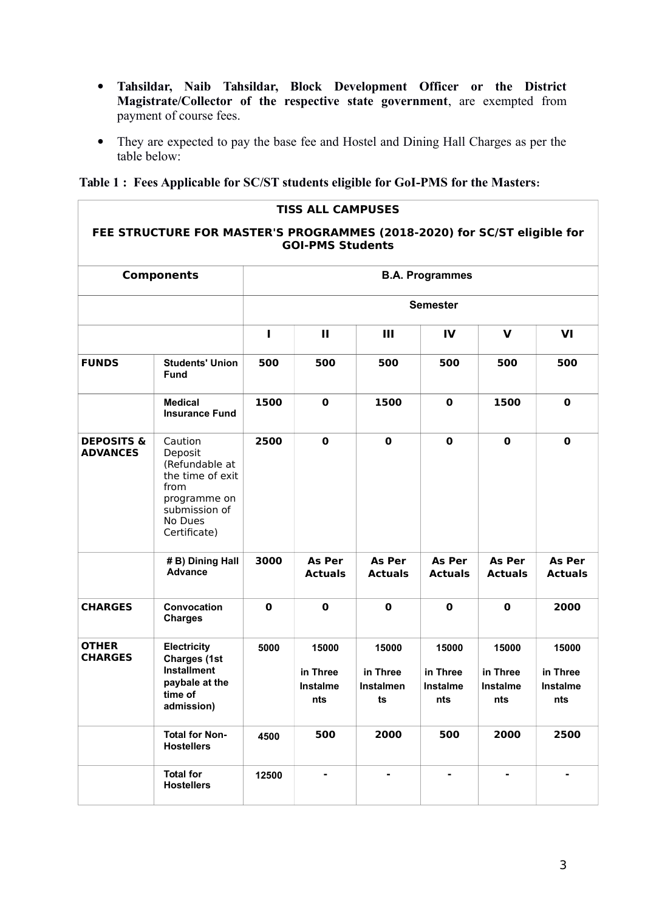- **Tahsildar, Naib Tahsildar, Block Development Officer or the District Magistrate/Collector of the respective state government**, are exempted from payment of course fees.
- They are expected to pay the base fee and Hostel and Dining Hall Charges as per the table below:

## **Table 1 : Fees Applicable for SC/ST students eligible for GoI-PMS for the Masters:**

| <b>TISS ALL CAMPUSES</b><br>FEE STRUCTURE FOR MASTER'S PROGRAMMES (2018-2020) for SC/ST eligible for<br><b>GOI-PMS Students</b> |                                                                                                                              |                        |                                      |                                      |                                      |                                      |                                      |  |  |
|---------------------------------------------------------------------------------------------------------------------------------|------------------------------------------------------------------------------------------------------------------------------|------------------------|--------------------------------------|--------------------------------------|--------------------------------------|--------------------------------------|--------------------------------------|--|--|
| <b>Components</b>                                                                                                               |                                                                                                                              | <b>B.A. Programmes</b> |                                      |                                      |                                      |                                      |                                      |  |  |
|                                                                                                                                 |                                                                                                                              | <b>Semester</b>        |                                      |                                      |                                      |                                      |                                      |  |  |
|                                                                                                                                 |                                                                                                                              | п                      | $\mathbf{H}$                         | Ш                                    | IV                                   | $\mathbf v$                          | VI                                   |  |  |
| <b>FUNDS</b>                                                                                                                    | <b>Students' Union</b><br><b>Fund</b>                                                                                        | 500                    | 500                                  | 500                                  | 500                                  | 500                                  | 500                                  |  |  |
|                                                                                                                                 | <b>Medical</b><br><b>Insurance Fund</b>                                                                                      | 1500                   | $\bf{0}$                             | 1500                                 | $\mathbf 0$                          | 1500                                 | $\mathbf 0$                          |  |  |
| <b>DEPOSITS &amp;</b><br><b>ADVANCES</b>                                                                                        | Caution<br>Deposit<br>(Refundable at<br>the time of exit<br>from<br>programme on<br>submission of<br>No Dues<br>Certificate) | 2500                   | $\mathbf 0$                          | $\mathbf 0$                          | $\mathbf 0$                          | $\bf{0}$                             | $\bf{0}$                             |  |  |
|                                                                                                                                 | # B) Dining Hall<br><b>Advance</b>                                                                                           | 3000                   | As Per<br><b>Actuals</b>             | <b>As Per</b><br><b>Actuals</b>      | As Per<br><b>Actuals</b>             | As Per<br><b>Actuals</b>             | As Per<br><b>Actuals</b>             |  |  |
| <b>CHARGES</b>                                                                                                                  | Convocation<br><b>Charges</b>                                                                                                | $\mathbf 0$            | $\mathbf 0$                          | $\mathbf 0$                          | $\bf{0}$                             | $\bf{0}$                             | 2000                                 |  |  |
| <b>OTHER</b><br><b>CHARGES</b>                                                                                                  | <b>Electricity</b><br><b>Charges (1st</b><br><b>Installment</b><br>paybale at the<br>time of<br>admission)                   | 5000                   | 15000<br>in Three<br>Instalme<br>nts | 15000<br>in Three<br>Instalmen<br>ts | 15000<br>in Three<br>Instalme<br>nts | 15000<br>in Three<br>Instalme<br>nts | 15000<br>in Three<br>Instalme<br>nts |  |  |
|                                                                                                                                 | <b>Total for Non-</b><br><b>Hostellers</b>                                                                                   | 4500                   | 500                                  | 2000                                 | 500                                  | 2000                                 | 2500                                 |  |  |
|                                                                                                                                 | <b>Total for</b><br><b>Hostellers</b>                                                                                        | 12500                  |                                      |                                      |                                      |                                      |                                      |  |  |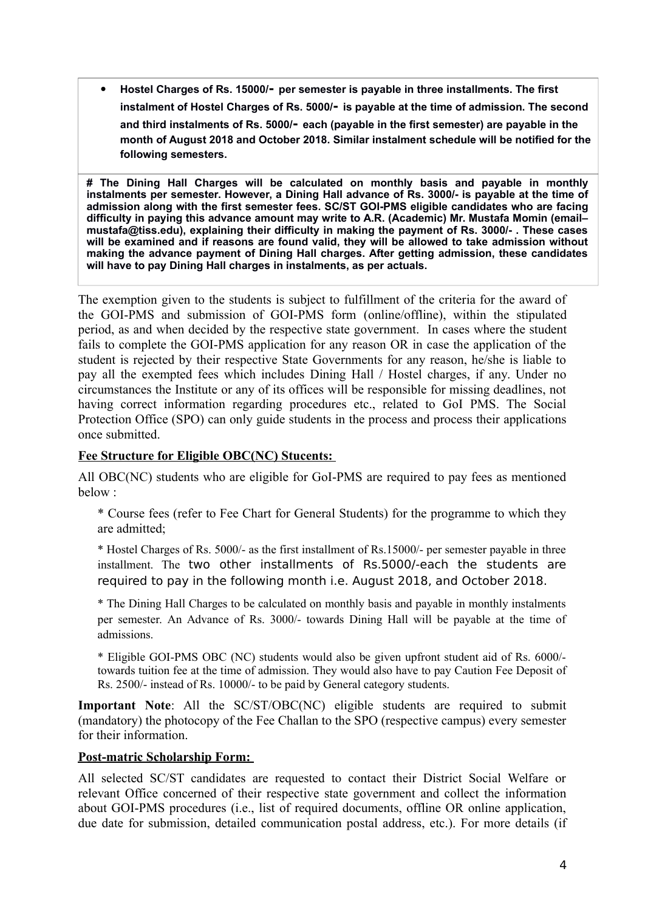**Hostel Charges of Rs. 15000/- per semester is payable in three installments. The first instalment of Hostel Charges of Rs. 5000/- is payable at the time of admission. The second and third instalments of Rs. 5000/- each (payable in the first semester) are payable in the month of August 2018 and October 2018. Similar instalment schedule will be notified for the following semesters.**

**# The Dining Hall Charges will be calculated on monthly basis and payable in monthly instalments per semester. However, a Dining Hall advance of Rs. 3000/- is payable at the time of admission along with the first semester fees. SC/ST GOI-PMS eligible candidates who are facing difficulty in paying this advance amount may write to A.R. (Academic) Mr. Mustafa Momin (email– mustafa@tiss.edu), explaining their difficulty in making the payment of Rs. 3000/- . These cases will be examined and if reasons are found valid, they will be allowed to take admission without making the advance payment of Dining Hall charges. After getting admission, these candidates will have to pay Dining Hall charges in instalments, as per actuals.**

The exemption given to the students is subject to fulfillment of the criteria for the award of the GOI-PMS and submission of GOI-PMS form (online/offline), within the stipulated period, as and when decided by the respective state government. In cases where the student fails to complete the GOI-PMS application for any reason OR in case the application of the student is rejected by their respective State Governments for any reason, he/she is liable to pay all the exempted fees which includes Dining Hall / Hostel charges, if any. Under no circumstances the Institute or any of its offices will be responsible for missing deadlines, not having correct information regarding procedures etc., related to GoI PMS. The Social Protection Office (SPO) can only guide students in the process and process their applications once submitted.

#### **Fee Structure for Eligible OBC(NC) Stucents:**

All OBC(NC) students who are eligible for GoI-PMS are required to pay fees as mentioned below :

\* Course fees (refer to Fee Chart for General Students) for the programme to which they are admitted;

\* Hostel Charges of Rs. 5000/- as the first installment of Rs.15000/- per semester payable in three installment. The two other installments of Rs.5000/-each the students are required to pay in the following month i.e. August 2018, and October 2018.

\* The Dining Hall Charges to be calculated on monthly basis and payable in monthly instalments per semester. An Advance of Rs. 3000/- towards Dining Hall will be payable at the time of admissions.

\* Eligible GOI-PMS OBC (NC) students would also be given upfront student aid of Rs. 6000/ towards tuition fee at the time of admission. They would also have to pay Caution Fee Deposit of Rs. 2500/- instead of Rs. 10000/- to be paid by General category students.

**Important Note**: All the SC/ST/OBC(NC) eligible students are required to submit (mandatory) the photocopy of the Fee Challan to the SPO (respective campus) every semester for their information.

#### **Post-matric Scholarship Form:**

All selected SC/ST candidates are requested to contact their District Social Welfare or relevant Office concerned of their respective state government and collect the information about GOI-PMS procedures (i.e., list of required documents, offline OR online application, due date for submission, detailed communication postal address, etc.). For more details (if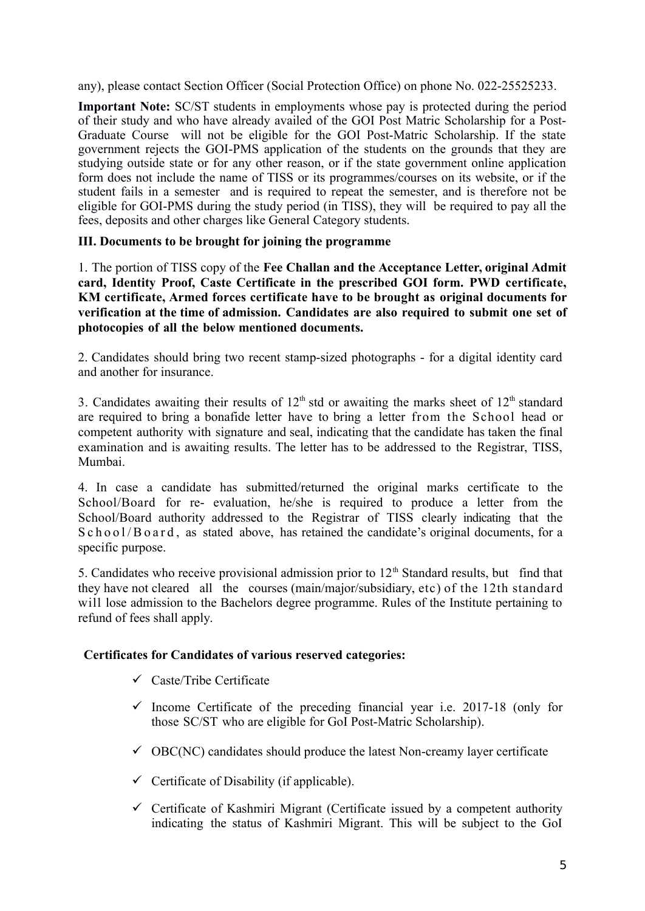any), please contact Section Officer (Social Protection Office) on phone No. 022-25525233.

**Important Note:** SC/ST students in employments whose pay is protected during the period of their study and who have already availed of the GOI Post Matric Scholarship for a Post-Graduate Course will not be eligible for the GOI Post-Matric Scholarship. If the state government rejects the GOI-PMS application of the students on the grounds that they are studying outside state or for any other reason, or if the state government online application form does not include the name of TISS or its programmes/courses on its website, or if the student fails in a semester and is required to repeat the semester, and is therefore not be eligible for GOI-PMS during the study period (in TISS), they will be required to pay all the fees, deposits and other charges like General Category students.

#### **III. Documents to be brought for joining the programme**

1. The portion of TISS copy of the **Fee Challan and the Acceptance Letter, original Admit card, Identity Proof, Caste Certificate in the prescribed GOI form. PWD certificate, KM certificate, Armed forces certificate have to be brought as original documents for verification at the time of admission. Candidates are also required to submit one set of photocopies of all the below mentioned documents.** 

2. Candidates should bring two recent stamp-sized photographs - for a digital identity card and another for insurance.

3. Candidates awaiting their results of  $12<sup>th</sup>$  std or awaiting the marks sheet of  $12<sup>th</sup>$  standard are required to bring a bonafide letter have to bring a letter from the School head or competent authority with signature and seal, indicating that the candidate has taken the final examination and is awaiting results. The letter has to be addressed to the Registrar, TISS, Mumbai.

4. In case a candidate has submitted/returned the original marks certificate to the School/Board for re- evaluation, he/she is required to produce a letter from the School/Board authority addressed to the Registrar of TISS clearly indicating that the  $S$  c h o o  $1/B$  o a r d, as stated above, has retained the candidate's original documents, for a specific purpose.

5. Candidates who receive provisional admission prior to  $12<sup>th</sup>$  Standard results, but find that they have not cleared all the courses (main/major/subsidiary, etc) of the 12th standard will lose admission to the Bachelors degree programme. Rules of the Institute pertaining to refund of fees shall apply.

#### **Certificates for Candidates of various reserved categories:**

- $\checkmark$  Caste/Tribe Certificate
- $\checkmark$  Income Certificate of the preceding financial year i.e. 2017-18 (only for those SC/ST who are eligible for GoI Post-Matric Scholarship).
- $\checkmark$  OBC(NC) candidates should produce the latest Non-creamy layer certificate
- $\checkmark$  Certificate of Disability (if applicable).
- $\checkmark$  Certificate of Kashmiri Migrant (Certificate issued by a competent authority indicating the status of Kashmiri Migrant. This will be subject to the GoI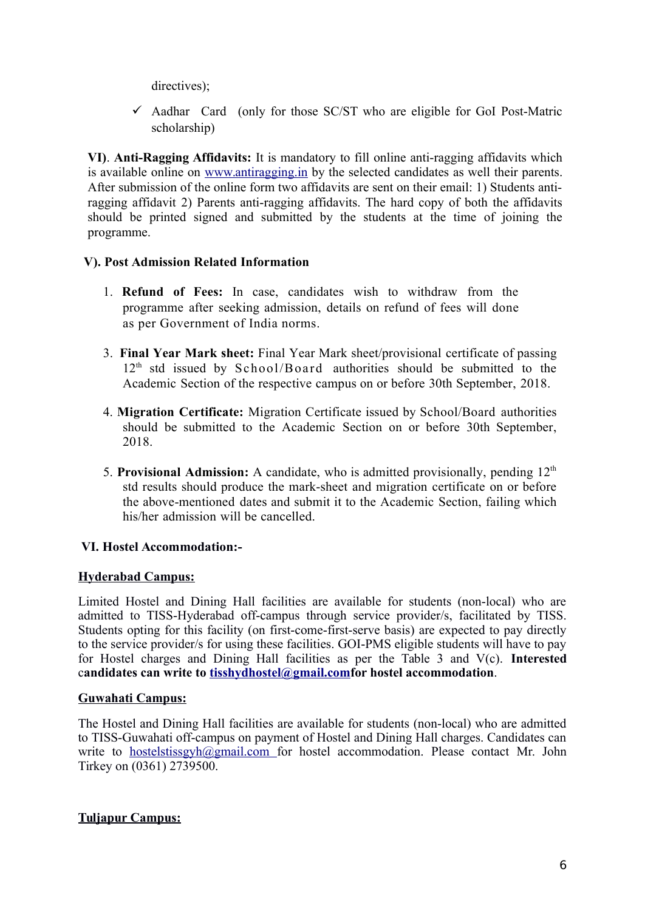directives);

 $\checkmark$  Aadhar Card (only for those SC/ST who are eligible for GoI Post-Matric scholarship)

**VI)**. **Anti-Ragging Affidavits:** It is mandatory to fill online anti-ragging affidavits which is available online on [www.antiragging.in](http://www.antiragging.in/) by the selected candidates as well their parents. After submission of the online form two affidavits are sent on their email: 1) Students antiragging affidavit 2) Parents anti-ragging affidavits. The hard copy of both the affidavits should be printed signed and submitted by the students at the time of joining the programme.

## **V). Post Admission Related Information**

- 1. **Refund of Fees:** In case, candidates wish to withdraw from the programme after seeking admission, details on refund of fees will done as per Government of India norms.
- 3. **Final Year Mark sheet:** Final Year Mark sheet/provisional certificate of passing  $12<sup>th</sup>$  std issued by School/Board authorities should be submitted to the Academic Section of the respective campus on or before 30th September, 2018.
- 4. **Migration Certificate:** Migration Certificate issued by School/Board authorities should be submitted to the Academic Section on or before 30th September, 2018.
- 5. Provisional Admission: A candidate, who is admitted provisionally, pending 12<sup>th</sup> std results should produce the mark-sheet and migration certificate on or before the above-mentioned dates and submit it to the Academic Section, failing which his/her admission will be cancelled.

## **VI. Hostel Accommodation:-**

#### **Hyderabad Campus:**

Limited Hostel and Dining Hall facilities are available for students (non-local) who are admitted to TISS-Hyderabad off-campus through service provider/s, facilitated by TISS. Students opting for this facility (on first-come-first-serve basis) are expected to pay directly to the service provider/s for using these facilities. GOI-PMS eligible students will have to pay for Hostel charges and Dining Hall facilities as per the Table 3 and V(c). **Interested** c**andidates can write to tisshydhostel@gmail.comfor hostel accommodation**.

#### **Guwahati Campus:**

The Hostel and Dining Hall facilities are available for students (non-local) who are admitted to TISS-Guwahati off-campus on payment of Hostel and Dining Hall charges. Candidates can write to [hostelstissgyh@gmail.com f](mailto:hostelstissgyh@gmail.com)or hostel accommodation. Please contact Mr. John Tirkey on (0361) 2739500.

#### **Tuljapur Campus:**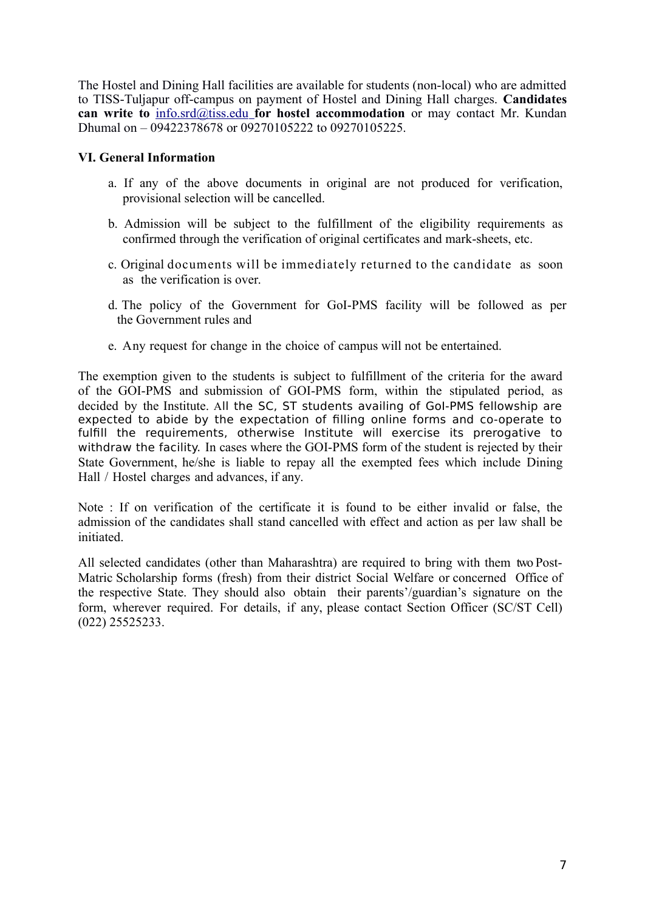The Hostel and Dining Hall facilities are available for students (non-local) who are admitted to TISS-Tuljapur off-campus on payment of Hostel and Dining Hall charges. **Candidates can write to** [info.srd@tiss.edu](mailto:infosrd@tiss.edu) **for hostel accommodation** or may contact Mr. Kundan Dhumal on – 09422378678 or 09270105222 to 09270105225.

#### **VI. General Information**

- a. If any of the above documents in original are not produced for verification, provisional selection will be cancelled.
- b. Admission will be subject to the fulfillment of the eligibility requirements as confirmed through the verification of original certificates and mark-sheets, etc.
- c. Original documents will be immediately returned to the candidate as soon as the verification is over.
- d. The policy of the Government for GoI-PMS facility will be followed as per the Government rules and
- e. Any request for change in the choice of campus will not be entertained.

The exemption given to the students is subject to fulfillment of the criteria for the award of the GOI-PMS and submission of GOI-PMS form, within the stipulated period, as decided by the Institute. All the SC, ST students availing of GoI-PMS fellowship are expected to abide by the expectation of filling online forms and co-operate to fulfill the requirements, otherwise Institute will exercise its prerogative to withdraw the facility. In cases where the GOI-PMS form of the student is rejected by their State Government, he/she is liable to repay all the exempted fees which include Dining Hall / Hostel charges and advances, if any.

Note : If on verification of the certificate it is found to be either invalid or false, the admission of the candidates shall stand cancelled with effect and action as per law shall be initiated.

All selected candidates (other than Maharashtra) are required to bring with them two Post-Matric Scholarship forms (fresh) from their district Social Welfare or concerned Office of the respective State. They should also obtain their parents'/guardian's signature on the form, wherever required. For details, if any, please contact Section Officer (SC/ST Cell) (022) 25525233.